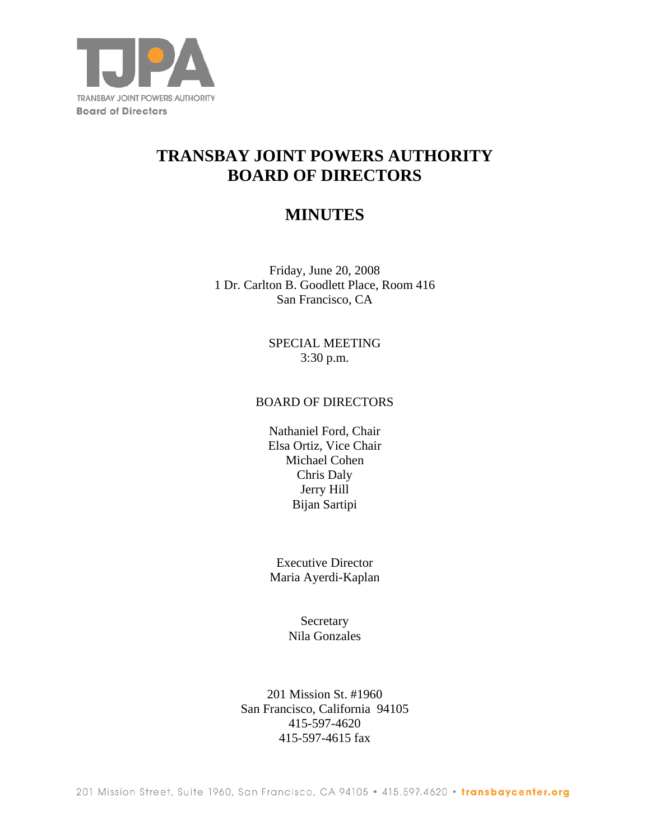

# **TRANSBAY JOINT POWERS AUTHORITY BOARD OF DIRECTORS**

## **MINUTES**

Friday, June 20, 2008 1 Dr. Carlton B. Goodlett Place, Room 416 San Francisco, CA

> SPECIAL MEETING 3:30 p.m.

#### BOARD OF DIRECTORS

Nathaniel Ford, Chair Elsa Ortiz, Vice Chair Michael Cohen Chris Daly Jerry Hill Bijan Sartipi

Executive Director Maria Ayerdi-Kaplan

> Secretary Nila Gonzales

201 Mission St. #1960 San Francisco, California 94105 415-597-4620 415-597-4615 fax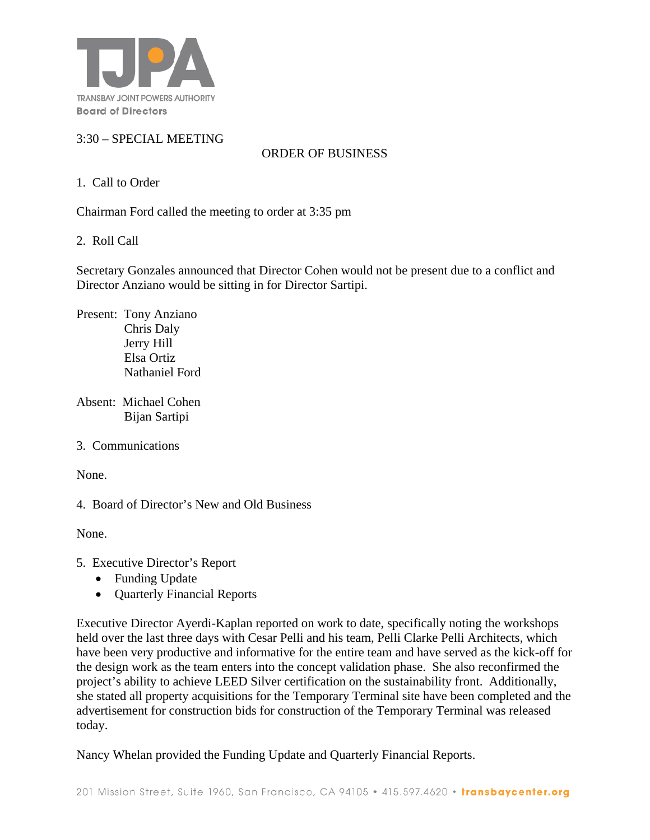

## 3:30 – SPECIAL MEETING

#### ORDER OF BUSINESS

## 1. Call to Order

Chairman Ford called the meeting to order at 3:35 pm

#### 2. Roll Call

Secretary Gonzales announced that Director Cohen would not be present due to a conflict and Director Anziano would be sitting in for Director Sartipi.

Present: Tony Anziano Chris Daly Jerry Hill Elsa Ortiz Nathaniel Ford

Absent: Michael Cohen Bijan Sartipi

3. Communications

None.

4. Board of Director's New and Old Business

None.

- 5. Executive Director's Report
	- Funding Update
	- Quarterly Financial Reports

Executive Director Ayerdi-Kaplan reported on work to date, specifically noting the workshops held over the last three days with Cesar Pelli and his team, Pelli Clarke Pelli Architects, which have been very productive and informative for the entire team and have served as the kick-off for the design work as the team enters into the concept validation phase. She also reconfirmed the project's ability to achieve LEED Silver certification on the sustainability front. Additionally, she stated all property acquisitions for the Temporary Terminal site have been completed and the advertisement for construction bids for construction of the Temporary Terminal was released today.

Nancy Whelan provided the Funding Update and Quarterly Financial Reports.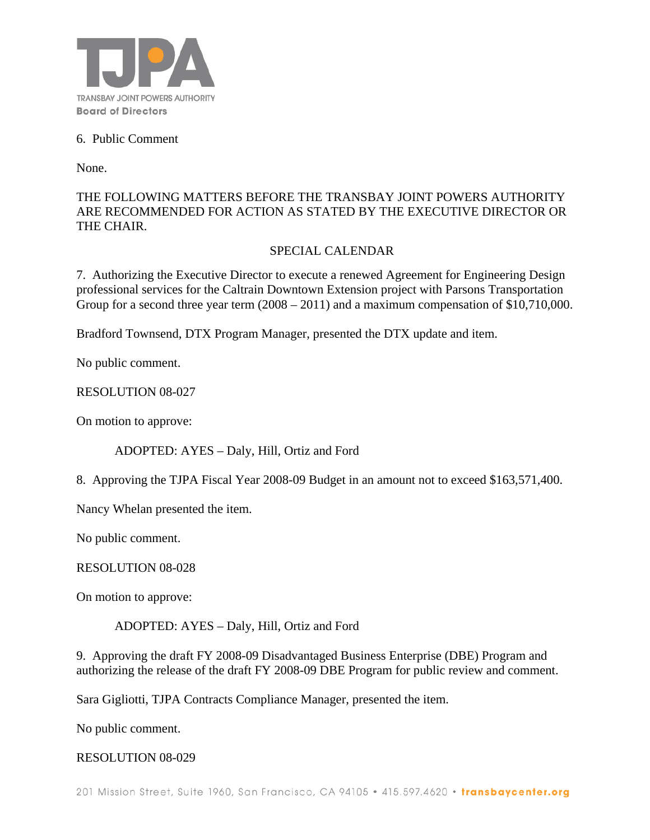

#### 6. Public Comment

None.

## THE FOLLOWING MATTERS BEFORE THE TRANSBAY JOINT POWERS AUTHORITY ARE RECOMMENDED FOR ACTION AS STATED BY THE EXECUTIVE DIRECTOR OR THE CHAIR.

## SPECIAL CALENDAR

7. Authorizing the Executive Director to execute a renewed Agreement for Engineering Design professional services for the Caltrain Downtown Extension project with Parsons Transportation Group for a second three year term (2008 – 2011) and a maximum compensation of \$10,710,000.

Bradford Townsend, DTX Program Manager, presented the DTX update and item.

No public comment.

RESOLUTION 08-027

On motion to approve:

ADOPTED: AYES – Daly, Hill, Ortiz and Ford

8. Approving the TJPA Fiscal Year 2008-09 Budget in an amount not to exceed \$163,571,400.

Nancy Whelan presented the item.

No public comment.

RESOLUTION 08-028

On motion to approve:

ADOPTED: AYES – Daly, Hill, Ortiz and Ford

9. Approving the draft FY 2008-09 Disadvantaged Business Enterprise (DBE) Program and authorizing the release of the draft FY 2008-09 DBE Program for public review and comment.

Sara Gigliotti, TJPA Contracts Compliance Manager, presented the item.

No public comment.

#### RESOLUTION 08-029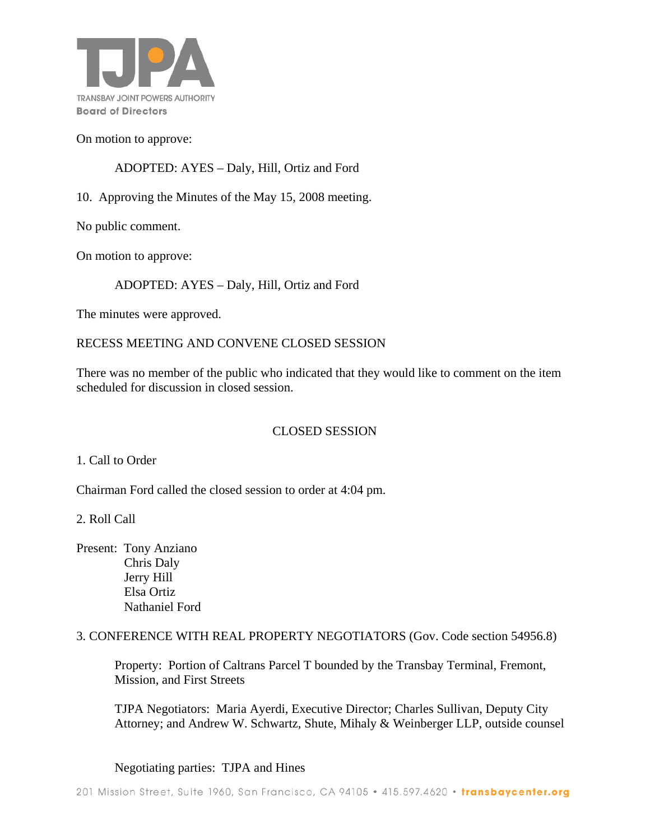

On motion to approve:

## ADOPTED: AYES – Daly, Hill, Ortiz and Ford

10. Approving the Minutes of the May 15, 2008 meeting.

No public comment.

On motion to approve:

ADOPTED: AYES – Daly, Hill, Ortiz and Ford

The minutes were approved.

#### RECESS MEETING AND CONVENE CLOSED SESSION

There was no member of the public who indicated that they would like to comment on the item scheduled for discussion in closed session.

## CLOSED SESSION

1. Call to Order

Chairman Ford called the closed session to order at 4:04 pm.

2. Roll Call

Present: Tony Anziano Chris Daly Jerry Hill Elsa Ortiz Nathaniel Ford

## 3. CONFERENCE WITH REAL PROPERTY NEGOTIATORS (Gov. Code section 54956.8)

 Property: Portion of Caltrans Parcel T bounded by the Transbay Terminal, Fremont, Mission, and First Streets

TJPA Negotiators: Maria Ayerdi, Executive Director; Charles Sullivan, Deputy City Attorney; and Andrew W. Schwartz, Shute, Mihaly & Weinberger LLP, outside counsel

#### Negotiating parties: TJPA and Hines